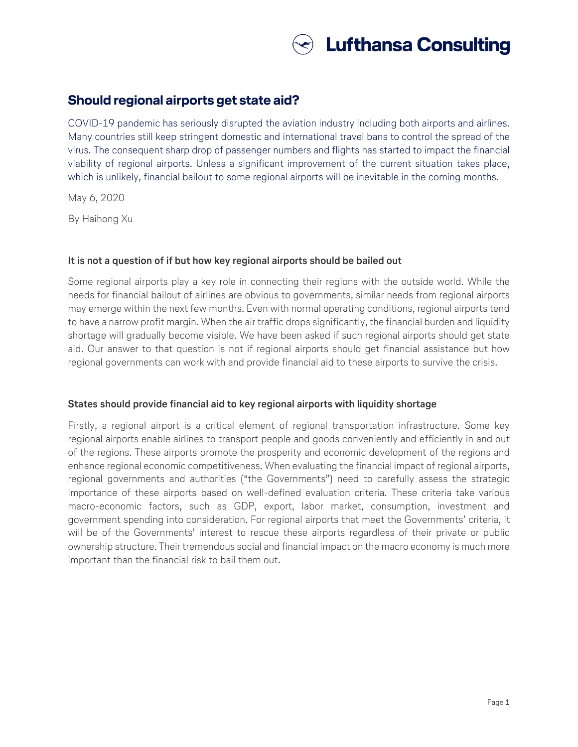

## **Should regional airports get state aid?**

COVID-19 pandemic has seriously disrupted the aviation industry including both airports and airlines. Many countries still keep stringent domestic and international travel bans to control the spread of the virus. The consequent sharp drop of passenger numbers and flights has started to impact the financial viability of regional airports. Unless a significant improvement of the current situation takes place, which is unlikely, financial bailout to some regional airports will be inevitable in the coming months.

May 6, 2020

By Haihong Xu

### **It is not a question of if but how key regional airports should be bailed out**

Some regional airports play a key role in connecting their regions with the outside world. While the needs for financial bailout of airlines are obvious to governments, similar needs from regional airports may emerge within the next few months. Even with normal operating conditions, regional airports tend to have a narrow profit margin. When the air traffic drops significantly, the financial burden and liquidity shortage will gradually become visible. We have been asked if such regional airports should get state aid. Our answer to that question is not if regional airports should get financial assistance but how regional governments can work with and provide financial aid to these airports to survive the crisis.

## **States should provide financial aid to key regional airports with liquidity shortage**

Firstly, a regional airport is a critical element of regional transportation infrastructure. Some key regional airports enable airlines to transport people and goods conveniently and efficiently in and out of the regions. These airports promote the prosperity and economic development of the regions and enhance regional economic competitiveness. When evaluating the financial impact of regional airports, regional governments and authorities ("the Governments") need to carefully assess the strategic importance of these airports based on well-defined evaluation criteria. These criteria take various macro-economic factors, such as GDP, export, labor market, consumption, investment and government spending into consideration. For regional airports that meet the Governments' criteria, it will be of the Governments' interest to rescue these airports regardless of their private or public ownership structure. Their tremendous social and financial impact on the macro economy is much more important than the financial risk to bail them out.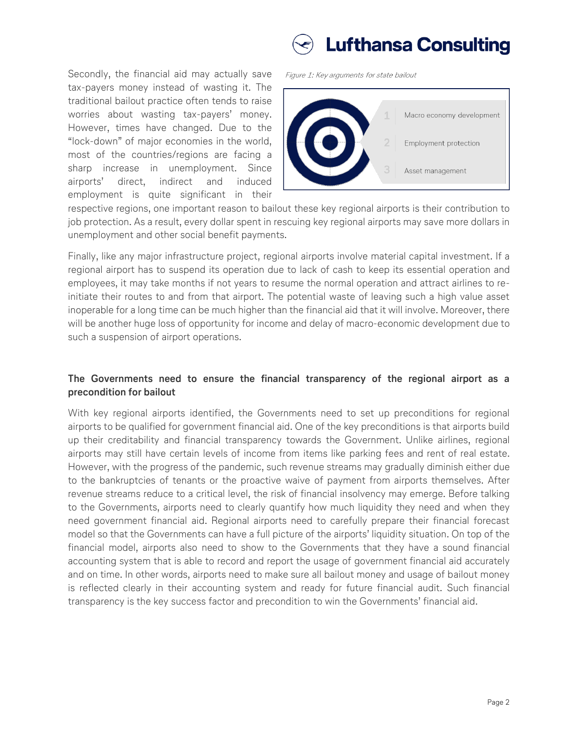# **Lufthansa Consulting**

Secondly, the financial aid may actually save tax-payers money instead of wasting it. The traditional bailout practice often tends to raise worries about wasting tax-payers' money. However, times have changed. Due to the "lock-down" of major economies in the world, most of the countries/regions are facing a sharp increase in unemployment. Since airports' direct, indirect and induced employment is quite significant in their

Figure 1: Key arguments for state bailout



respective regions, one important reason to bailout these key regional airports is their contribution to job protection. As a result, every dollar spent in rescuing key regional airports may save more dollars in unemployment and other social benefit payments.

Finally, like any major infrastructure project, regional airports involve material capital investment. If a regional airport has to suspend its operation due to lack of cash to keep its essential operation and employees, it may take months if not years to resume the normal operation and attract airlines to reinitiate their routes to and from that airport. The potential waste of leaving such a high value asset inoperable for a long time can be much higher than the financial aid that it will involve. Moreover, there will be another huge loss of opportunity for income and delay of macro-economic development due to such a suspension of airport operations.

## **The Governments need to ensure the financial transparency of the regional airport as a precondition for bailout**

With key regional airports identified, the Governments need to set up preconditions for regional airports to be qualified for government financial aid. One of the key preconditions is that airports build up their creditability and financial transparency towards the Government. Unlike airlines, regional airports may still have certain levels of income from items like parking fees and rent of real estate. However, with the progress of the pandemic, such revenue streams may gradually diminish either due to the bankruptcies of tenants or the proactive waive of payment from airports themselves. After revenue streams reduce to a critical level, the risk of financial insolvency may emerge. Before talking to the Governments, airports need to clearly quantify how much liquidity they need and when they need government financial aid. Regional airports need to carefully prepare their financial forecast model so that the Governments can have a full picture of the airports' liquidity situation. On top of the financial model, airports also need to show to the Governments that they have a sound financial accounting system that is able to record and report the usage of government financial aid accurately and on time. In other words, airports need to make sure all bailout money and usage of bailout money is reflected clearly in their accounting system and ready for future financial audit. Such financial transparency is the key success factor and precondition to win the Governments' financial aid.